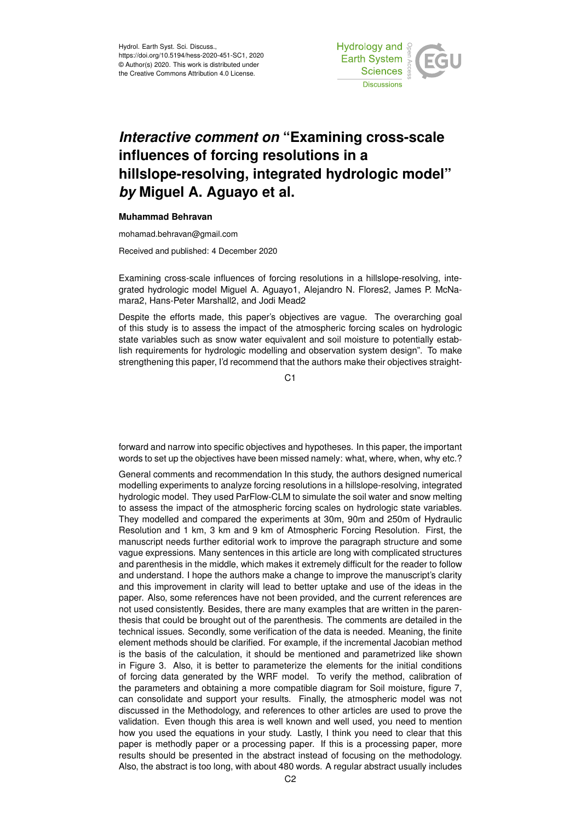

## *Interactive comment on* **"Examining cross-scale influences of forcing resolutions in a hillslope-resolving, integrated hydrologic model"** *by* **Miguel A. Aguayo et al.**

## **Muhammad Behravan**

mohamad.behravan@gmail.com

Received and published: 4 December 2020

Examining cross-scale influences of forcing resolutions in a hillslope-resolving, integrated hydrologic model Miguel A. Aguayo1, Alejandro N. Flores2, James P. McNamara2, Hans-Peter Marshall2, and Jodi Mead2

Despite the efforts made, this paper's objectives are vague. The overarching goal of this study is to assess the impact of the atmospheric forcing scales on hydrologic state variables such as snow water equivalent and soil moisture to potentially establish requirements for hydrologic modelling and observation system design". To make strengthening this paper, I'd recommend that the authors make their objectives straight-

 $C<sub>1</sub>$ 

forward and narrow into specific objectives and hypotheses. In this paper, the important words to set up the objectives have been missed namely: what, where, when, why etc.?

General comments and recommendation In this study, the authors designed numerical modelling experiments to analyze forcing resolutions in a hillslope-resolving, integrated hydrologic model. They used ParFlow-CLM to simulate the soil water and snow melting to assess the impact of the atmospheric forcing scales on hydrologic state variables. They modelled and compared the experiments at 30m, 90m and 250m of Hydraulic Resolution and 1 km, 3 km and 9 km of Atmospheric Forcing Resolution. First, the manuscript needs further editorial work to improve the paragraph structure and some vague expressions. Many sentences in this article are long with complicated structures and parenthesis in the middle, which makes it extremely difficult for the reader to follow and understand. I hope the authors make a change to improve the manuscript's clarity and this improvement in clarity will lead to better uptake and use of the ideas in the paper. Also, some references have not been provided, and the current references are not used consistently. Besides, there are many examples that are written in the parenthesis that could be brought out of the parenthesis. The comments are detailed in the technical issues. Secondly, some verification of the data is needed. Meaning, the finite element methods should be clarified. For example, if the incremental Jacobian method is the basis of the calculation, it should be mentioned and parametrized like shown in Figure 3. Also, it is better to parameterize the elements for the initial conditions of forcing data generated by the WRF model. To verify the method, calibration of the parameters and obtaining a more compatible diagram for Soil moisture, figure 7, can consolidate and support your results. Finally, the atmospheric model was not discussed in the Methodology, and references to other articles are used to prove the validation. Even though this area is well known and well used, you need to mention how you used the equations in your study. Lastly, I think you need to clear that this paper is methodly paper or a processing paper. If this is a processing paper, more results should be presented in the abstract instead of focusing on the methodology. Also, the abstract is too long, with about 480 words. A regular abstract usually includes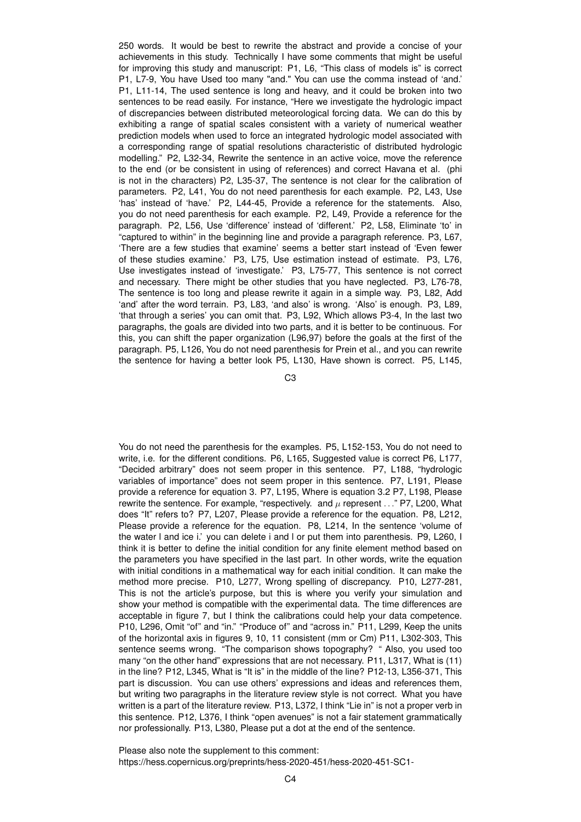250 words. It would be best to rewrite the abstract and provide a concise of your achievements in this study. Technically I have some comments that might be useful for improving this study and manuscript: P1, L6, "This class of models is" is correct P1, L7-9, You have Used too many "and." You can use the comma instead of 'and.' P1, L11-14, The used sentence is long and heavy, and it could be broken into two sentences to be read easily. For instance, "Here we investigate the hydrologic impact of discrepancies between distributed meteorological forcing data. We can do this by exhibiting a range of spatial scales consistent with a variety of numerical weather prediction models when used to force an integrated hydrologic model associated with a corresponding range of spatial resolutions characteristic of distributed hydrologic modelling." P2, L32-34, Rewrite the sentence in an active voice, move the reference to the end (or be consistent in using of references) and correct Havana et al. (phi is not in the characters) P2, L35-37, The sentence is not clear for the calibration of parameters. P2, L41, You do not need parenthesis for each example. P2, L43, Use 'has' instead of 'have.' P2, L44-45, Provide a reference for the statements. Also, you do not need parenthesis for each example. P2, L49, Provide a reference for the paragraph. P2, L56, Use 'difference' instead of 'different.' P2, L58, Eliminate 'to' in "captured to within" in the beginning line and provide a paragraph reference. P3, L67, 'There are a few studies that examine' seems a better start instead of 'Even fewer of these studies examine.' P3, L75, Use estimation instead of estimate. P3, L76, Use investigates instead of 'investigate.' P3, L75-77, This sentence is not correct and necessary. There might be other studies that you have neglected. P3, L76-78, The sentence is too long and please rewrite it again in a simple way. P3, L82, Add 'and' after the word terrain. P3, L83, 'and also' is wrong. 'Also' is enough. P3, L89, 'that through a series' you can omit that. P3, L92, Which allows P3-4, In the last two paragraphs, the goals are divided into two parts, and it is better to be continuous. For this, you can shift the paper organization (L96,97) before the goals at the first of the paragraph. P5, L126, You do not need parenthesis for Prein et al., and you can rewrite the sentence for having a better look P5, L130, Have shown is correct. P5, L145,

C3

You do not need the parenthesis for the examples. P5, L152-153, You do not need to write, i.e. for the different conditions. P6, L165, Suggested value is correct P6, L177, "Decided arbitrary" does not seem proper in this sentence. P7, L188, "hydrologic variables of importance" does not seem proper in this sentence. P7, L191, Please provide a reference for equation 3. P7, L195, Where is equation 3.2 P7, L198, Please rewrite the sentence. For example, "respectively. and  $\mu$  represent . . ." P7, L200, What does "It" refers to? P7, L207, Please provide a reference for the equation. P8, L212, Please provide a reference for the equation. P8, L214, In the sentence 'volume of the water l and ice i.' you can delete i and l or put them into parenthesis. P9, L260, I think it is better to define the initial condition for any finite element method based on the parameters you have specified in the last part. In other words, write the equation with initial conditions in a mathematical way for each initial condition. It can make the method more precise. P10, L277, Wrong spelling of discrepancy. P10, L277-281, This is not the article's purpose, but this is where you verify your simulation and show your method is compatible with the experimental data. The time differences are acceptable in figure 7, but I think the calibrations could help your data competence. P10, L296, Omit "of" and "in." "Produce of" and "across in." P11, L299, Keep the units of the horizontal axis in figures 9, 10, 11 consistent (mm or Cm) P11, L302-303, This sentence seems wrong. "The comparison shows topography? " Also, you used too many "on the other hand" expressions that are not necessary. P11, L317, What is (11) in the line? P12, L345, What is "It is" in the middle of the line? P12-13, L356-371, This part is discussion. You can use others' expressions and ideas and references them, but writing two paragraphs in the literature review style is not correct. What you have written is a part of the literature review. P13, L372, I think "Lie in" is not a proper verb in this sentence. P12, L376, I think "open avenues" is not a fair statement grammatically nor professionally. P13, L380, Please put a dot at the end of the sentence.

Please also note the supplement to this comment: https://hess.copernicus.org/preprints/hess-2020-451/hess-2020-451-SC1